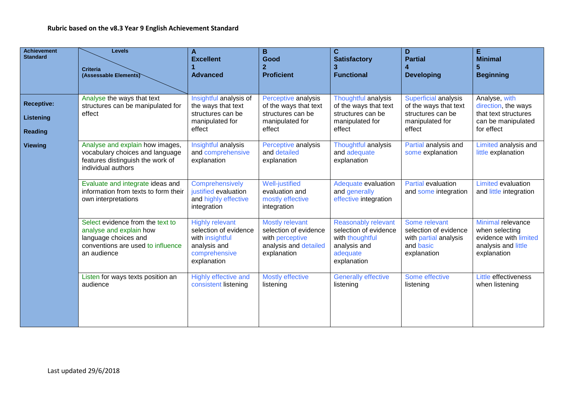| <b>Achievement</b><br><b>Standard</b>            | <b>Levels</b><br><b>Criteria</b><br>(Assessable Elements)                                                                               | A<br><b>Excellent</b><br><b>Advanced</b>                                                                           | B<br>Good<br>$\overline{2}$<br><b>Proficient</b>                                                           | C.<br><b>Satisfactory</b><br><b>Functional</b>                                                                    | D<br><b>Partial</b><br>4<br><b>Developing</b>                                                   | E.<br><b>Minimal</b><br>5<br><b>Beginning</b>                                                      |
|--------------------------------------------------|-----------------------------------------------------------------------------------------------------------------------------------------|--------------------------------------------------------------------------------------------------------------------|------------------------------------------------------------------------------------------------------------|-------------------------------------------------------------------------------------------------------------------|-------------------------------------------------------------------------------------------------|----------------------------------------------------------------------------------------------------|
|                                                  |                                                                                                                                         |                                                                                                                    |                                                                                                            |                                                                                                                   |                                                                                                 |                                                                                                    |
| <b>Receptive:</b><br>Listening<br><b>Reading</b> | Analyse the ways that text<br>structures can be manipulated for<br>effect                                                               | Insightful analysis of<br>the ways that text<br>structures can be<br>manipulated for<br>effect                     | Perceptive analysis<br>of the ways that text<br>structures can be<br>manipulated for<br>effect             | Thoughtful analysis<br>of the ways that text<br>structures can be<br>manipulated for<br>effect                    | Superficial analysis<br>of the ways that text<br>structures can be<br>manipulated for<br>effect | Analyse, with<br>direction, the ways<br>that text structures<br>can be manipulated<br>for effect   |
| <b>Viewing</b>                                   | Analyse and explain how images,<br>vocabulary choices and language<br>features distinguish the work of<br>individual authors            | Insightful analysis<br>and comprehensive<br>explanation                                                            | Perceptive analysis<br>and detailed<br>explanation                                                         | Thoughtful analysis<br>and adequate<br>explanation                                                                | Partial analysis and<br>some explanation                                                        | Limited analysis and<br>little explanation                                                         |
|                                                  | Evaluate and integrate ideas and<br>information from texts to form their<br>own interpretations                                         | Comprehensively<br>justified evaluation<br>and highly effective<br>integration                                     | <b>Well-justified</b><br>evaluation and<br>mostly effective<br>integration                                 | Adequate evaluation<br>and generally<br>effective integration                                                     | <b>Partial evaluation</b><br>and some integration                                               | <b>Limited evaluation</b><br>and little integration                                                |
|                                                  | Select evidence from the text to<br>analyse and explain how<br>language choices and<br>conventions are used to influence<br>an audience | <b>Highly relevant</b><br>selection of evidence<br>with insightful<br>analysis and<br>comprehensive<br>explanation | <b>Mostly relevant</b><br>selection of evidence<br>with perceptive<br>analysis and detailed<br>explanation | <b>Reasonably relevant</b><br>selection of evidence<br>with thoughtful<br>analysis and<br>adequate<br>explanation | Some relevant<br>selection of evidence<br>with partial analysis<br>and basic<br>explanation     | Minimal relevance<br>when selecting<br>evidence with limited<br>analysis and little<br>explanation |
|                                                  | Listen for ways texts position an<br>audience                                                                                           | <b>Highly effective and</b><br>consistent listening                                                                | <b>Mostly effective</b><br>listening                                                                       | <b>Generally effective</b><br>listening                                                                           | Some effective<br>listening                                                                     | Little effectiveness<br>when listening                                                             |